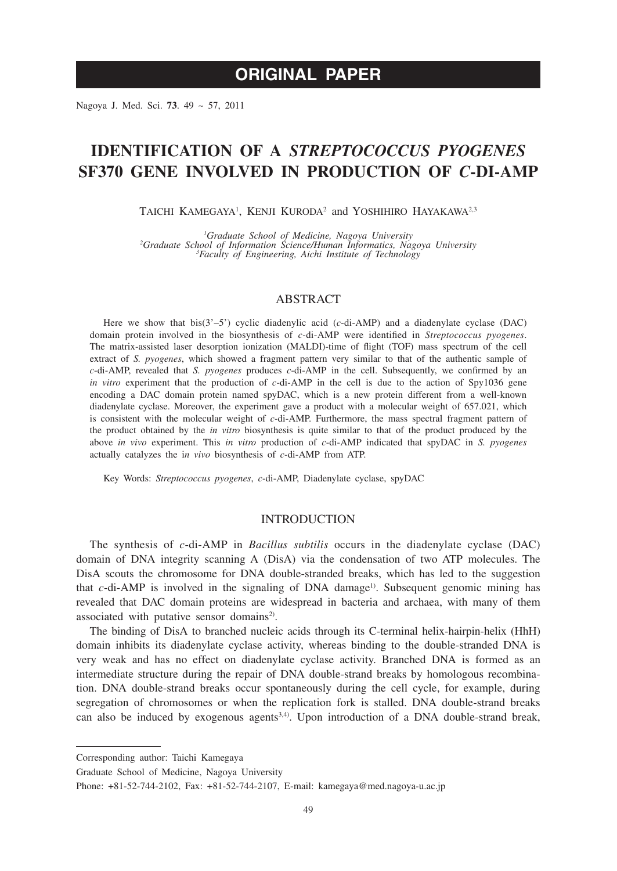# **ORIGINAL PAPER**

Nagoya J. Med. Sci. **73**. 49 ~ 57, 2011

# **IDENTIFICATION OF A** *STREPTOCOCCUS PYOGENES* **SF370 GENE INVOLVED IN PRODUCTION OF** *C***-DI-AMP**

TAICHI KAMEGAYA<sup>1</sup>, KENJI KURODA<sup>2</sup> and YOSHIHIRO HAYAKAWA<sup>2,3</sup>

<sup>1</sup>Graduate School of Medicine, Nagova University <sup>2</sup> Graduate School of Medicine, Nagoya University<br><sup>2</sup> Graduate School of Information Science/Human Informatics, Nagoya University 3<br><sup>2</sup> Graduate 3 *<sup>3</sup> Faculty of Fnoineering Aichi Institute of Technology Faculty of Engineering, Aichi Institute of Technology*

## **ABSTRACT**

Here we show that bis(3'–5') cyclic diadenylic acid (*c*-di-AMP) and a diadenylate cyclase (DAC) domain protein involved in the biosynthesis of *c*-di-AMP were identified in *Streptococcus pyogenes*. The matrix-assisted laser desorption ionization (MALDI)-time of flight (TOF) mass spectrum of the cell extract of *S. pyogenes*, which showed a fragment pattern very similar to that of the authentic sample of *c*-di-AMP, revealed that *S. pyogenes* produces *c*-di-AMP in the cell. Subsequently, we confirmed by an *in vitro* experiment that the production of *c*-di-AMP in the cell is due to the action of Spy1036 gene encoding a DAC domain protein named spyDAC, which is a new protein different from a well-known diadenylate cyclase. Moreover, the experiment gave a product with a molecular weight of 657.021, which is consistent with the molecular weight of *c*-di-AMP. Furthermore, the mass spectral fragment pattern of the product obtained by the *in vitro* biosynthesis is quite similar to that of the product produced by the above *in vivo* experiment. This *in vitro* production of *c*-di-AMP indicated that spyDAC in *S. pyogenes* actually catalyzes the i*n vivo* biosynthesis of *c*-di-AMP from ATP.

Key Words: *Streptococcus pyogenes*, *c*-di-AMP, Diadenylate cyclase, spyDAC

### INTRODUCTION

The synthesis of *c*-di-AMP in *Bacillus subtilis* occurs in the diadenylate cyclase (DAC) domain of DNA integrity scanning A (DisA) via the condensation of two ATP molecules. The DisA scouts the chromosome for DNA double-stranded breaks, which has led to the suggestion that *c*-di-AMP is involved in the signaling of DNA damage<sup>1)</sup>. Subsequent genomic mining has revealed that DAC domain proteins are widespread in bacteria and archaea, with many of them associated with putative sensor domains<sup>2)</sup>.

The binding of DisA to branched nucleic acids through its C-terminal helix-hairpin-helix (HhH) domain inhibits its diadenylate cyclase activity, whereas binding to the double-stranded DNA is very weak and has no effect on diadenylate cyclase activity. Branched DNA is formed as an intermediate structure during the repair of DNA double-strand breaks by homologous recombination. DNA double-strand breaks occur spontaneously during the cell cycle, for example, during segregation of chromosomes or when the replication fork is stalled. DNA double-strand breaks can also be induced by exogenous agents<sup>3,4)</sup>. Upon introduction of a DNA double-strand break,

Corresponding author: Taichi Kamegaya

Graduate School of Medicine, Nagoya University

Phone: +81-52-744-2102, Fax: +81-52-744-2107, E-mail: kamegaya@med.nagoya-u.ac.jp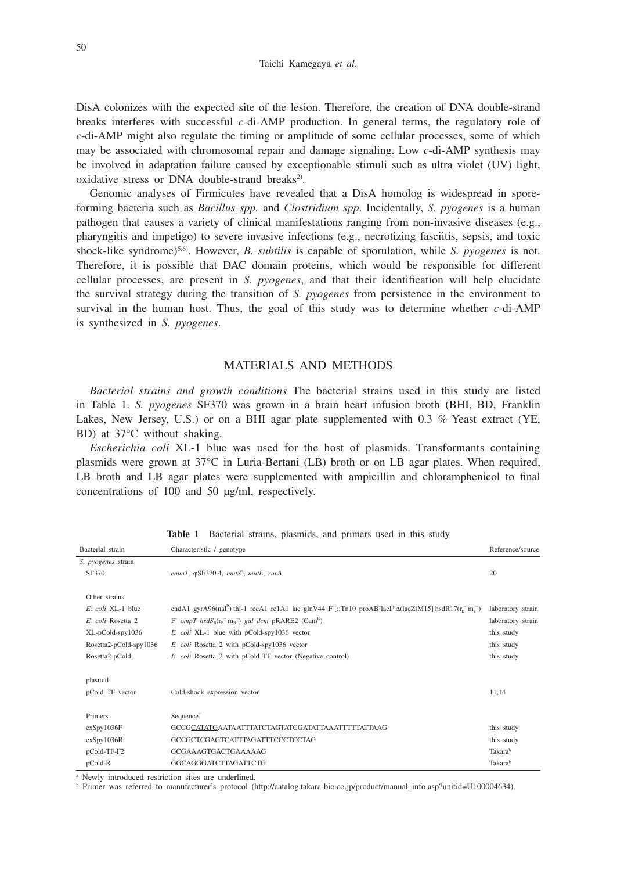DisA colonizes with the expected site of the lesion. Therefore, the creation of DNA double-strand breaks interferes with successful *c*-di-AMP production. In general terms, the regulatory role of *c*-di-AMP might also regulate the timing or amplitude of some cellular processes, some of which may be associated with chromosomal repair and damage signaling. Low *c*-di-AMP synthesis may be involved in adaptation failure caused by exceptionable stimuli such as ultra violet (UV) light, oxidative stress or DNA double-strand breaks<sup>2)</sup>.

Genomic analyses of Firmicutes have revealed that a DisA homolog is widespread in sporeforming bacteria such as *Bacillus spp.* and *Clostridium spp*. Incidentally, *S. pyogenes* is a human pathogen that causes a variety of clinical manifestations ranging from non-invasive diseases (e.g., pharyngitis and impetigo) to severe invasive infections (e.g., necrotizing fasciitis, sepsis, and toxic shock-like syndrome)5,6). However, *B. subtilis* is capable of sporulation, while *S. pyogenes* is not. Therefore, it is possible that DAC domain proteins, which would be responsible for different cellular processes, are present in *S. pyogenes*, and that their identification will help elucidate the survival strategy during the transition of *S. pyogenes* from persistence in the environment to survival in the human host. Thus, the goal of this study was to determine whether *c*-di-AMP is synthesized in *S. pyogenes*.

## MATERIALS AND METHODS

*Bacterial strains and growth conditions* The bacterial strains used in this study are listed in Table 1. *S. pyogenes* SF370 was grown in a brain heart infusion broth (BHI, BD, Franklin Lakes, New Jersey, U.S.) or on a BHI agar plate supplemented with 0.3 % Yeast extract (YE, BD) at 37°C without shaking.

*Escherichia coli* XL-1 blue was used for the host of plasmids. Transformants containing plasmids were grown at 37°C in Luria-Bertani (LB) broth or on LB agar plates. When required, LB broth and LB agar plates were supplemented with ampicillin and chloramphenicol to final concentrations of 100 and 50 μg/ml, respectively.

| Bacterial strain           | Characteristic / genotype                                                                                                                                                                        | Reference/source  |
|----------------------------|--------------------------------------------------------------------------------------------------------------------------------------------------------------------------------------------------|-------------------|
| S. pyogenes strain         |                                                                                                                                                                                                  |                   |
| SF370                      | emm1, $\varphi$ SF370.4, mutS <sup>+</sup> , mutL, ruvA                                                                                                                                          | 20                |
|                            |                                                                                                                                                                                                  |                   |
| Other strains              |                                                                                                                                                                                                  |                   |
| E. coli XL-1 blue          | endA1 gyrA96(nal <sup>R</sup> ) thi-1 recA1 re1A1 lac glnV44 F'[::Tn10 proAB <sup>+</sup> lacI <sup>q</sup> $\Delta$ (lacZ)M15] hsdR17(r <sub>k</sub> <sup>-</sup> m <sub>k</sub> <sup>+</sup> ) | laboratory strain |
| E. coli Rosetta 2          | $F$ ompT hsdS <sub>B</sub> (r <sub>B</sub> <sup>-</sup> m <sub>B</sub> <sup>-</sup> ) gal dcm pRARE2 (Cam <sup>B</sup> )                                                                         | laboratory strain |
| $XL$ -p $Cold$ -spy $1036$ | E. coli XL-1 blue with pCold-spy1036 vector                                                                                                                                                      | this study        |
| $Rosetta2-pCold-spy1036$   | E. coli Rosetta 2 with pCold-spy1036 vector                                                                                                                                                      | this study        |
| Rosetta2-pCold             | E. coli Rosetta 2 with pCold TF vector (Negative control)                                                                                                                                        | this study        |
| plasmid                    |                                                                                                                                                                                                  |                   |
| pCold TF vector            | Cold-shock expression vector                                                                                                                                                                     | 11,14             |
| Primers                    | Sequence <sup>a</sup>                                                                                                                                                                            |                   |
| exSpy1036F                 | GCCGCATATGAATAATTTATCTAGTATCGATATTAAATTTTTATTAAG                                                                                                                                                 | this study        |
| exSpy1036R                 | GCCGCTCGAGTCATTTAGATTTCCCTCCTAG                                                                                                                                                                  | this study        |
| pCold-TF-F2                | GCGAAAGTGACTGAAAAAG                                                                                                                                                                              | Takarab           |
| pCold-R                    | GGCAGGGATCTTAGATTCTG                                                                                                                                                                             | Takarab           |

Table 1 Bacterial strains, plasmids, and primers used in this study

a Newly introduced restriction sites are underlined.

<sup>b</sup> Primer was referred to manufacturer's protocol (http://catalog.takara-bio.co.jp/product/manual\_info.asp?unitid=U100004634).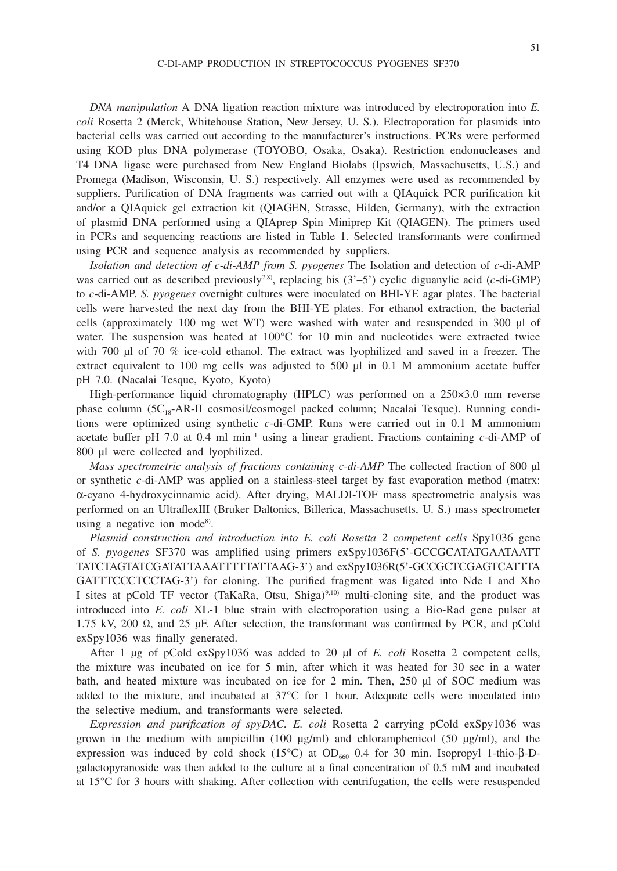*DNA manipulation* A DNA ligation reaction mixture was introduced by electroporation into *E. coli* Rosetta 2 (Merck, Whitehouse Station, New Jersey, U. S.). Electroporation for plasmids into bacterial cells was carried out according to the manufacturer's instructions. PCRs were performed using KOD plus DNA polymerase (TOYOBO, Osaka, Osaka). Restriction endonucleases and T4 DNA ligase were purchased from New England Biolabs (Ipswich, Massachusetts, U.S.) and Promega (Madison, Wisconsin, U. S.) respectively. All enzymes were used as recommended by suppliers. Purification of DNA fragments was carried out with a QIAquick PCR purification kit and/or a QIAquick gel extraction kit (QIAGEN, Strasse, Hilden, Germany), with the extraction of plasmid DNA performed using a QIAprep Spin Miniprep Kit (QIAGEN). The primers used in PCRs and sequencing reactions are listed in Table 1. Selected transformants were confirmed using PCR and sequence analysis as recommended by suppliers.

*Isolation and detection of c-di-AMP from S. pyogenes* The Isolation and detection of *c*-di-AMP was carried out as described previously<sup>7,8)</sup>, replacing bis (3'-5') cyclic diguanylic acid (*c*-di-GMP) to *c*-di-AMP. *S. pyogenes* overnight cultures were inoculated on BHI-YE agar plates. The bacterial cells were harvested the next day from the BHI-YE plates. For ethanol extraction, the bacterial cells (approximately 100 mg wet WT) were washed with water and resuspended in 300 μl of water. The suspension was heated at 100°C for 10 min and nucleotides were extracted twice with 700 μl of 70 % ice-cold ethanol. The extract was lyophilized and saved in a freezer. The extract equivalent to 100 mg cells was adjusted to 500 μl in 0.1 M ammonium acetate buffer pH 7.0. (Nacalai Tesque, Kyoto, Kyoto)

High-performance liquid chromatography (HPLC) was performed on a 250×3.0 mm reverse phase column (5C18-AR-II cosmosil/cosmogel packed column; Nacalai Tesque). Running conditions were optimized using synthetic *c*-di-GMP. Runs were carried out in 0.1 M ammonium acetate buffer pH 7.0 at 0.4 ml min–1 using a linear gradient. Fractions containing *c*-di-AMP of 800 μl were collected and lyophilized.

*Mass spectrometric analysis of fractions containing c-di-AMP* The collected fraction of 800 μl or synthetic *c*-di-AMP was applied on a stainless-steel target by fast evaporation method (matrx: α-cyano 4-hydroxycinnamic acid). After drying, MALDI-TOF mass spectrometric analysis was performed on an UltraflexIII (Bruker Daltonics, Billerica, Massachusetts, U. S.) mass spectrometer using a negative ion mode<sup>8)</sup>.

*Plasmid construction and introduction into E. coli Rosetta 2 competent cells* Spy1036 gene of *S. pyogenes* SF370 was amplified using primers exSpy1036F(5'-GCCGCATATGAATAATT TATCTAGTATCGATATTAAATTTTTATTAAG-3') and exSpy1036R(5'-GCCGCTCGAGTCATTTA GATTTCCCTCCTAG-3') for cloning. The purified fragment was ligated into Nde I and Xho I sites at pCold TF vector (TaKaRa, Otsu, Shiga)<sup>9,10)</sup> multi-cloning site, and the product was introduced into *E. coli* XL-1 blue strain with electroporation using a Bio-Rad gene pulser at 1.75 kV, 200  $Ω$ , and 25 μF. After selection, the transformant was confirmed by PCR, and pCold exSpy1036 was finally generated.

After 1 μg of pCold exSpy1036 was added to 20 μl of *E. coli* Rosetta 2 competent cells, the mixture was incubated on ice for 5 min, after which it was heated for 30 sec in a water bath, and heated mixture was incubated on ice for 2 min. Then, 250 μl of SOC medium was added to the mixture, and incubated at  $37^{\circ}$ C for 1 hour. Adequate cells were inoculated into the selective medium, and transformants were selected.

*Expression and purification of spyDAC. E. coli* Rosetta 2 carrying pCold exSpy1036 was grown in the medium with ampicillin (100 μg/ml) and chloramphenicol (50 μg/ml), and the expression was induced by cold shock (15°C) at OD<sub>660</sub> 0.4 for 30 min. Isopropyl 1-thio-β-Dgalactopyranoside was then added to the culture at a final concentration of 0.5 mM and incubated at 15°C for 3 hours with shaking. After collection with centrifugation, the cells were resuspended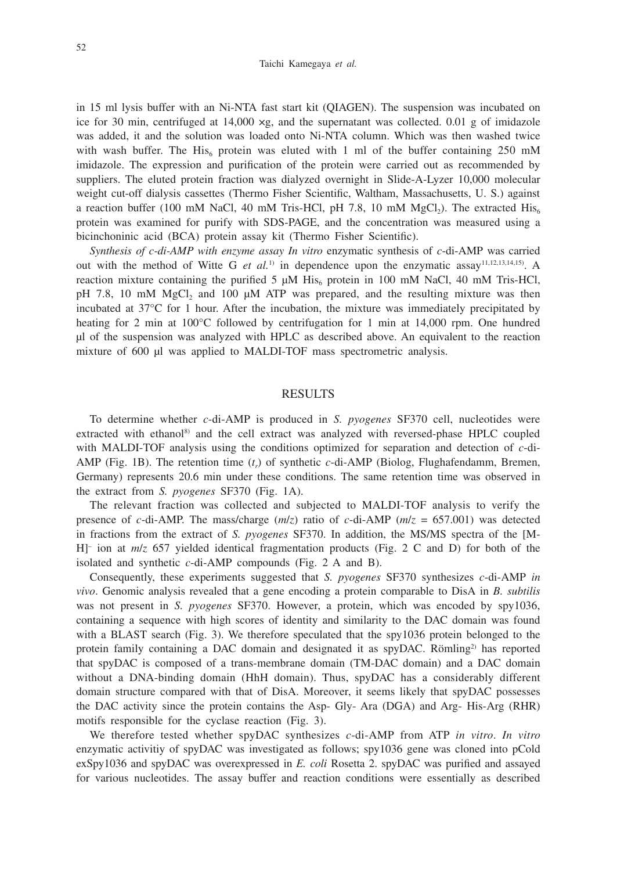in 15 ml lysis buffer with an Ni-NTA fast start kit (QIAGEN). The suspension was incubated on ice for 30 min, centrifuged at  $14,000 \times g$ , and the supernatant was collected. 0.01 g of imidazole was added, it and the solution was loaded onto Ni-NTA column. Which was then washed twice with wash buffer. The His<sub>6</sub> protein was eluted with 1 ml of the buffer containing 250 mM imidazole. The expression and purification of the protein were carried out as recommended by suppliers. The eluted protein fraction was dialyzed overnight in Slide-A-Lyzer 10,000 molecular weight cut-off dialysis cassettes (Thermo Fisher Scientific, Waltham, Massachusetts, U. S.) against a reaction buffer (100 mM NaCl, 40 mM Tris-HCl, pH 7.8, 10 mM MgCl<sub>2</sub>). The extracted  $His<sub>6</sub>$ protein was examined for purify with SDS-PAGE, and the concentration was measured using a bicinchoninic acid (BCA) protein assay kit (Thermo Fisher Scientific).

*Synthesis of c-di-AMP with enzyme assay In vitro* enzymatic synthesis of *c*-di-AMP was carried out with the method of Witte G *et al.*1) in dependence upon the enzymatic assay11,12,13,14,15). A reaction mixture containing the purified 5  $\mu$ M His<sub>6</sub> protein in 100 mM NaCl, 40 mM Tris-HCl, pH 7.8, 10 mM  $MgCl<sub>2</sub>$  and 100  $\mu$ M ATP was prepared, and the resulting mixture was then incubated at 37°C for 1 hour. After the incubation, the mixture was immediately precipitated by heating for 2 min at 100°C followed by centrifugation for 1 min at 14,000 rpm. One hundred μl of the suspension was analyzed with HPLC as described above. An equivalent to the reaction mixture of 600 μl was applied to MALDI-TOF mass spectrometric analysis.

#### RESULTS

To determine whether *c*-di-AMP is produced in *S. pyogenes* SF370 cell, nucleotides were extracted with ethanol<sup>8)</sup> and the cell extract was analyzed with reversed-phase HPLC coupled with MALDI-TOF analysis using the conditions optimized for separation and detection of *c*-di-AMP (Fig. 1B). The retention time  $(t<sub>r</sub>)$  of synthetic *c*-di-AMP (Biolog, Flughafendamm, Bremen, Germany) represents 20.6 min under these conditions. The same retention time was observed in the extract from *S. pyogenes* SF370 (Fig. 1A).

The relevant fraction was collected and subjected to MALDI-TOF analysis to verify the presence of *c*-di-AMP. The mass/charge (*m*/*z*) ratio of *c*-di-AMP (*m*/*z* = 657.001) was detected in fractions from the extract of *S. pyogenes* SF370. In addition, the MS/MS spectra of the [M-H]– ion at *m*/*z* 657 yielded identical fragmentation products (Fig. 2 C and D) for both of the isolated and synthetic *c*-di-AMP compounds (Fig. 2 A and B).

Consequently, these experiments suggested that *S. pyogenes* SF370 synthesizes *c*-di-AMP *in vivo*. Genomic analysis revealed that a gene encoding a protein comparable to DisA in *B. subtilis* was not present in *S. pyogenes* SF370. However, a protein, which was encoded by spy1036, containing a sequence with high scores of identity and similarity to the DAC domain was found with a BLAST search (Fig. 3). We therefore speculated that the spy1036 protein belonged to the protein family containing a DAC domain and designated it as spyDAC. Römling<sup>2)</sup> has reported that spyDAC is composed of a trans-membrane domain (TM-DAC domain) and a DAC domain without a DNA-binding domain (HhH domain). Thus, spyDAC has a considerably different domain structure compared with that of DisA. Moreover, it seems likely that spyDAC possesses the DAC activity since the protein contains the Asp- Gly- Ara (DGA) and Arg- His-Arg (RHR) motifs responsible for the cyclase reaction (Fig. 3).

We therefore tested whether spyDAC synthesizes *c*-di-AMP from ATP *in vitro*. *In vitro* enzymatic activitiy of spyDAC was investigated as follows; spy1036 gene was cloned into pCold exSpy1036 and spyDAC was overexpressed in *E. coli* Rosetta 2. spyDAC was purified and assayed for various nucleotides. The assay buffer and reaction conditions were essentially as described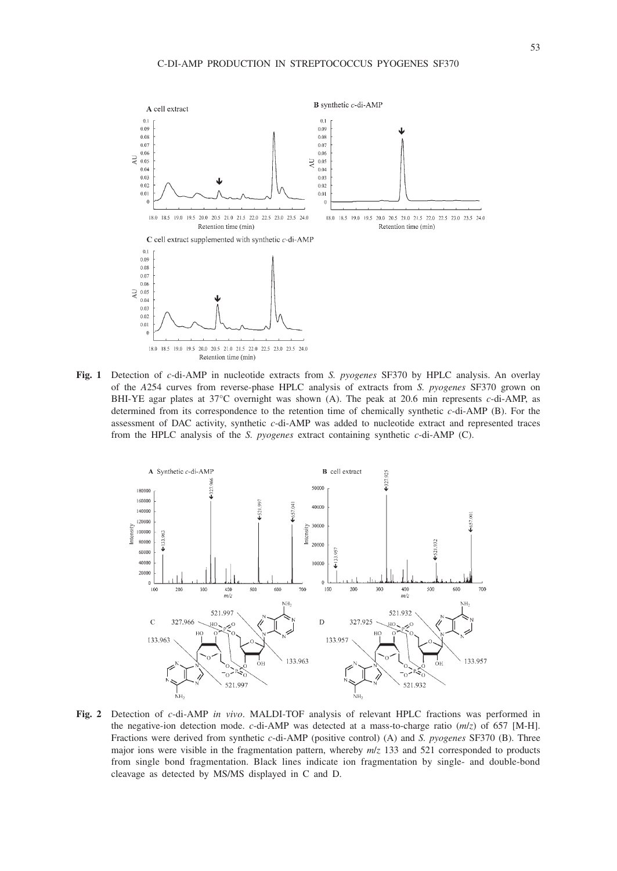

**Fig. 1** Detection of *c*-di-AMP in nucleotide extracts from *S. pyogenes* SF370 by HPLC analysis. An overlay of the *A*254 curves from reverse-phase HPLC analysis of extracts from *S. pyogenes* SF370 grown on BHI-YE agar plates at 37°C overnight was shown (A). The peak at 20.6 min represents *c*-di-AMP, as determined from its correspondence to the retention time of chemically synthetic *c*-di-AMP (B). For the assessment of DAC activity, synthetic *c*-di-AMP was added to nucleotide extract and represented traces from the HPLC analysis of the *S. pyogenes* extract containing synthetic *c*-di-AMP (C).



**Fig. 2** Detection of *c*-di-AMP *in vivo*. MALDI-TOF analysis of relevant HPLC fractions was performed in the negative-ion detection mode. *c*-di-AMP was detected at a mass-to-charge ratio  $(m/z)$  of 657 [M-H]. Fractions were derived from synthetic *c*-di-AMP (positive control) (A) and *S. pyogenes* SF370 (B). Three major ions were visible in the fragmentation pattern, whereby *m*/*z* 133 and 521 corresponded to products from single bond fragmentation. Black lines indicate ion fragmentation by single- and double-bond cleavage as detected by MS/MS displayed in C and D.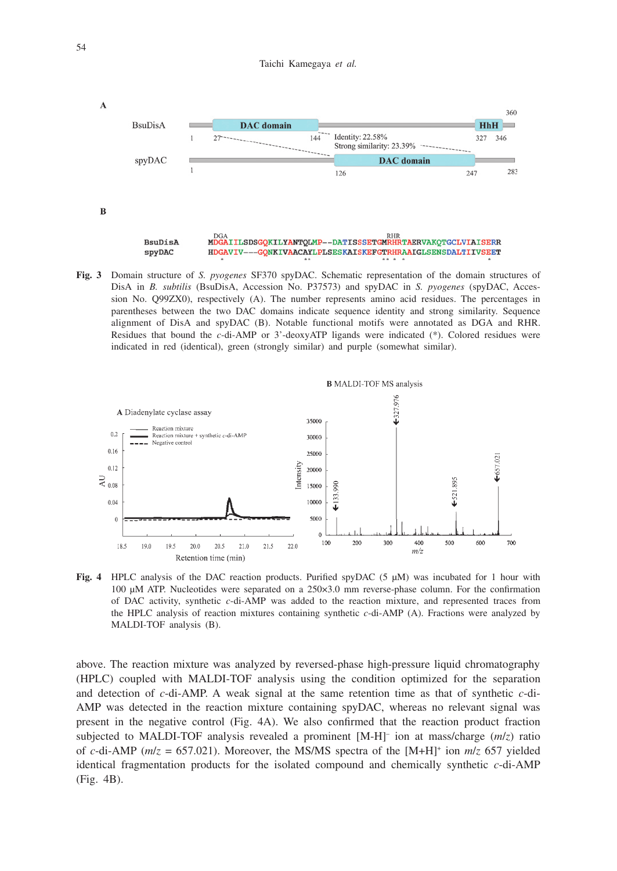

**Fig. 3** Domain structure of *S. pyogenes* SF370 spyDAC. Schematic representation of the domain structures of DisA in *B. subtilis* (BsuDisA, Accession No. P37573) and spyDAC in *S. pyogenes* (spyDAC, Accession No. Q99ZX0), respectively (A). The number represents amino acid residues. The percentages in parentheses between the two DAC domains indicate sequence identity and strong similarity. Sequence alignment of DisA and spyDAC (B). Notable functional motifs were annotated as DGA and RHR. Residues that bound the *c*-di-AMP or 3'-deoxyATP ligands were indicated (\*). Colored residues were indicated in red (identical), green (strongly similar) and purple (somewhat similar).



**Fig. 4** HPLC analysis of the DAC reaction products. Purified spyDAC (5 μM) was incubated for 1 hour with 100 μM ATP. Nucleotides were separated on a 250×3.0 mm reverse-phase column. For the confirmation of DAC activity, synthetic *c*-di-AMP was added to the reaction mixture, and represented traces from the HPLC analysis of reaction mixtures containing synthetic *c*-di-AMP (A). Fractions were analyzed by MALDI-TOF analysis (B).

above. The reaction mixture was analyzed by reversed-phase high-pressure liquid chromatography (HPLC) coupled with MALDI-TOF analysis using the condition optimized for the separation and detection of *c*-di-AMP. A weak signal at the same retention time as that of synthetic *c*-di-AMP was detected in the reaction mixture containing spyDAC, whereas no relevant signal was present in the negative control (Fig. 4A). We also confirmed that the reaction product fraction subjected to MALDI-TOF analysis revealed a prominent  $[M-H]$ <sup>-</sup> ion at mass/charge  $(m/z)$  ratio of *c*-di-AMP (*m*/*z* = 657.021). Moreover, the MS/MS spectra of the [M+H]+ ion *m*/*z* 657 yielded identical fragmentation products for the isolated compound and chemically synthetic *c*-di-AMP (Fig. 4B).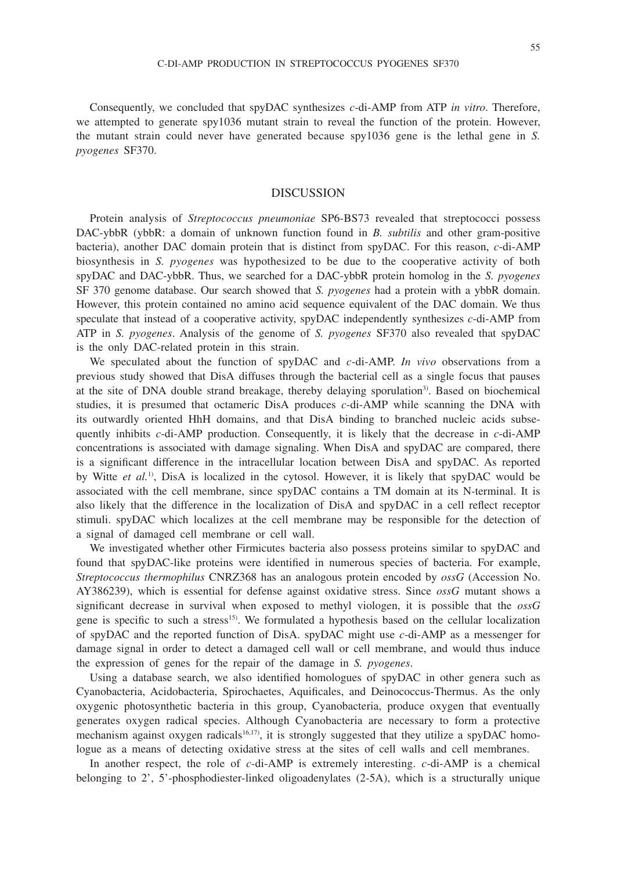55

Consequently, we concluded that spyDAC synthesizes *c*-di-AMP from ATP *in vitro*. Therefore, we attempted to generate spy1036 mutant strain to reveal the function of the protein. However, the mutant strain could never have generated because spy1036 gene is the lethal gene in *S. pyogenes* SF370.

## **DISCUSSION**

Protein analysis of *Streptococcus pneumoniae* SP6-BS73 revealed that streptococci possess DAC-ybbR (ybbR: a domain of unknown function found in *B. subtilis* and other gram-positive bacteria), another DAC domain protein that is distinct from spyDAC. For this reason, *c*-di-AMP biosynthesis in *S. pyogenes* was hypothesized to be due to the cooperative activity of both spyDAC and DAC-ybbR. Thus, we searched for a DAC-ybbR protein homolog in the *S. pyogenes*  SF 370 genome database. Our search showed that *S. pyogenes* had a protein with a ybbR domain. However, this protein contained no amino acid sequence equivalent of the DAC domain. We thus speculate that instead of a cooperative activity, spyDAC independently synthesizes *c*-di-AMP from ATP in *S. pyogenes*. Analysis of the genome of *S. pyogenes* SF370 also revealed that spyDAC is the only DAC-related protein in this strain.

We speculated about the function of spyDAC and *c*-di-AMP. *In vivo* observations from a previous study showed that DisA diffuses through the bacterial cell as a single focus that pauses at the site of DNA double strand breakage, thereby delaying sporulation<sup>3)</sup>. Based on biochemical studies, it is presumed that octameric DisA produces *c*-di-AMP while scanning the DNA with its outwardly oriented HhH domains, and that DisA binding to branched nucleic acids subsequently inhibits *c*-di-AMP production. Consequently, it is likely that the decrease in *c*-di-AMP concentrations is associated with damage signaling. When DisA and spyDAC are compared, there is a significant difference in the intracellular location between DisA and spyDAC. As reported by Witte *et al.*1), DisA is localized in the cytosol. However, it is likely that spyDAC would be associated with the cell membrane, since spyDAC contains a TM domain at its N-terminal. It is also likely that the difference in the localization of DisA and spyDAC in a cell reflect receptor stimuli. spyDAC which localizes at the cell membrane may be responsible for the detection of a signal of damaged cell membrane or cell wall.

We investigated whether other Firmicutes bacteria also possess proteins similar to spyDAC and found that spyDAC-like proteins were identified in numerous species of bacteria. For example, *Streptococcus thermophilus* CNRZ368 has an analogous protein encoded by *ossG* (Accession No. AY386239), which is essential for defense against oxidative stress. Since *ossG* mutant shows a significant decrease in survival when exposed to methyl viologen, it is possible that the *ossG* gene is specific to such a stress<sup>15</sup>. We formulated a hypothesis based on the cellular localization of spyDAC and the reported function of DisA. spyDAC might use *c*-di-AMP as a messenger for damage signal in order to detect a damaged cell wall or cell membrane, and would thus induce the expression of genes for the repair of the damage in *S. pyogenes*.

Using a database search, we also identified homologues of spyDAC in other genera such as Cyanobacteria, Acidobacteria, Spirochaetes, Aquificales, and Deinococcus-Thermus. As the only oxygenic photosynthetic bacteria in this group, Cyanobacteria, produce oxygen that eventually generates oxygen radical species. Although Cyanobacteria are necessary to form a protective mechanism against oxygen radicals<sup>16,17</sup>), it is strongly suggested that they utilize a spyDAC homologue as a means of detecting oxidative stress at the sites of cell walls and cell membranes.

In another respect, the role of *c*-di-AMP is extremely interesting. *c*-di-AMP is a chemical belonging to 2', 5'-phosphodiester-linked oligoadenylates (2-5A), which is a structurally unique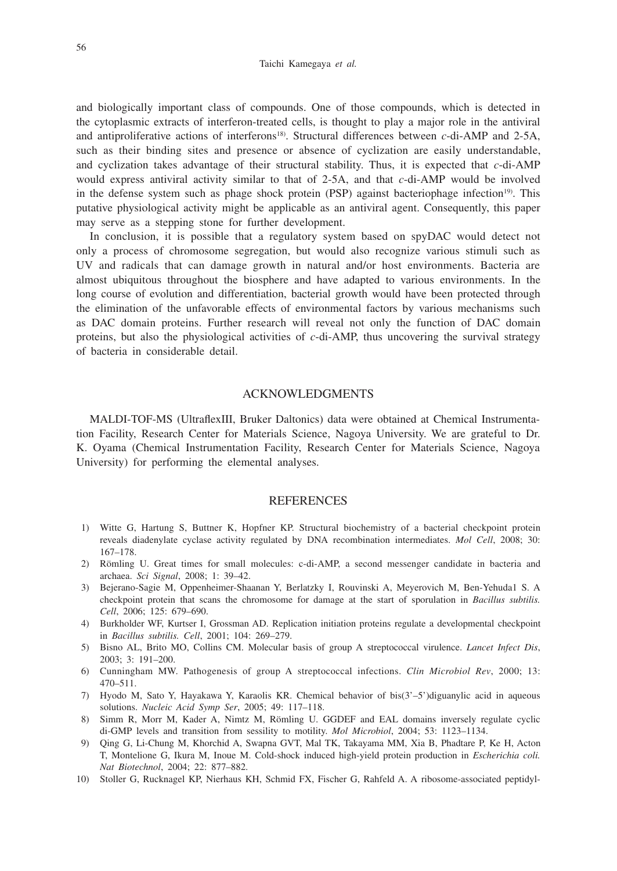Taichi Kamegaya *et al.*

and biologically important class of compounds. One of those compounds, which is detected in the cytoplasmic extracts of interferon-treated cells, is thought to play a major role in the antiviral and antiproliferative actions of interferons<sup>18)</sup>. Structural differences between *c*-di-AMP and 2-5A, such as their binding sites and presence or absence of cyclization are easily understandable, and cyclization takes advantage of their structural stability. Thus, it is expected that *c*-di-AMP would express antiviral activity similar to that of 2-5A, and that *c*-di-AMP would be involved in the defense system such as phage shock protein (PSP) against bacteriophage infection<sup>19)</sup>. This putative physiological activity might be applicable as an antiviral agent. Consequently, this paper may serve as a stepping stone for further development.

In conclusion, it is possible that a regulatory system based on spyDAC would detect not only a process of chromosome segregation, but would also recognize various stimuli such as UV and radicals that can damage growth in natural and/or host environments. Bacteria are almost ubiquitous throughout the biosphere and have adapted to various environments. In the long course of evolution and differentiation, bacterial growth would have been protected through the elimination of the unfavorable effects of environmental factors by various mechanisms such as DAC domain proteins. Further research will reveal not only the function of DAC domain proteins, but also the physiological activities of *c*-di-AMP, thus uncovering the survival strategy of bacteria in considerable detail.

## ACKNOWLEDGMENTS

MALDI-TOF-MS (UltraflexIII, Bruker Daltonics) data were obtained at Chemical Instrumentation Facility, Research Center for Materials Science, Nagoya University. We are grateful to Dr. K. Oyama (Chemical Instrumentation Facility, Research Center for Materials Science, Nagoya University) for performing the elemental analyses.

### REFERENCES

- 1) Witte G, Hartung S, Buttner K, Hopfner KP. Structural biochemistry of a bacterial checkpoint protein reveals diadenylate cyclase activity regulated by DNA recombination intermediates. *Mol Cell*, 2008; 30: 167–178.
- 2) Römling U. Great times for small molecules: c-di-AMP, a second messenger candidate in bacteria and archaea. *Sci Signal*, 2008; 1: 39–42.
- 3) Bejerano-Sagie M, Oppenheimer-Shaanan Y, Berlatzky I, Rouvinski A, Meyerovich M, Ben-Yehuda1 S. A checkpoint protein that scans the chromosome for damage at the start of sporulation in *Bacillus subtilis. Cell*, 2006; 125: 679–690.
- 4) Burkholder WF, Kurtser I, Grossman AD. Replication initiation proteins regulate a developmental checkpoint in *Bacillus subtilis. Cell*, 2001; 104: 269–279.
- 5) Bisno AL, Brito MO, Collins CM. Molecular basis of group A streptococcal virulence. *Lancet Infect Dis*, 2003; 3: 191–200.
- 6) Cunningham MW. Pathogenesis of group A streptococcal infections. *Clin Microbiol Rev*, 2000; 13: 470–511.
- 7) Hyodo M, Sato Y, Hayakawa Y, Karaolis KR. Chemical behavior of bis(3'–5')diguanylic acid in aqueous solutions. *Nucleic Acid Symp Ser*, 2005; 49: 117–118.
- 8) Simm R, Morr M, Kader A, Nimtz M, Römling U. GGDEF and EAL domains inversely regulate cyclic di-GMP levels and transition from sessility to motility. *Mol Microbiol*, 2004; 53: 1123–1134.
- 9) Qing G, Li-Chung M, Khorchid A, Swapna GVT, Mal TK, Takayama MM, Xia B, Phadtare P, Ke H, Acton T, Montelione G, Ikura M, Inoue M. Cold-shock induced high-yield protein production in *Escherichia coli. Nat Biotechnol*, 2004; 22: 877–882.
- 10) Stoller G, Rucknagel KP, Nierhaus KH, Schmid FX, Fischer G, Rahfeld A. A ribosome-associated peptidyl-